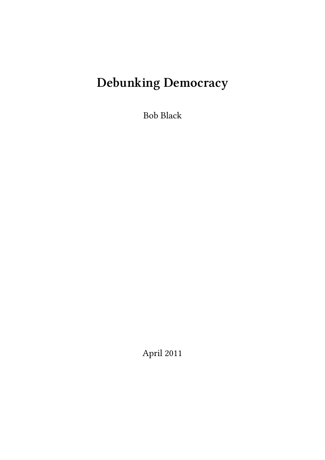## **Debunking Democracy**

Bob Black

April 2011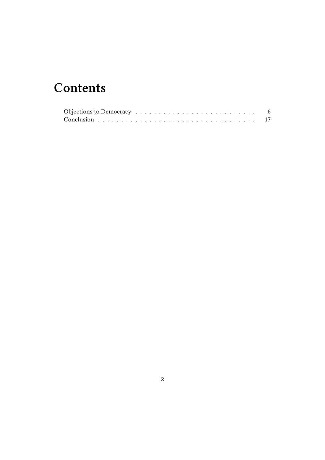## **Contents**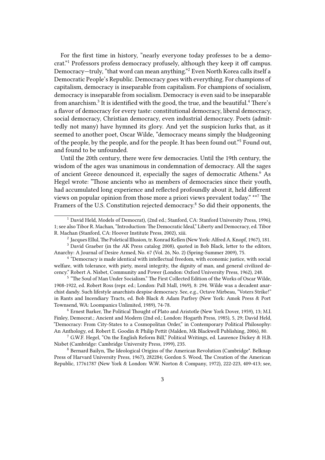For the first time in history, "nearly everyone today professes to be a democrat."<sup>1</sup> Professors profess democracy profusely, although they keep it off campus. Democracy—truly, "that word can mean anything."<sup>2</sup> Even North Korea calls itself a Democratic People's Republic. Democracy goes with everything. For champions of capitalism, democracy is inseparable from capitalism. For champions of socialism, democracy is inseparable from socialism. Democracy is even said to be inseparable from anarchism. $^3$  It is identified with the good, the true, and the beautiful. $^4$  There's a flavor of democracy for every taste: constitutional democracy, liberal democracy, social democracy, Christian democracy, even industrial democracy. Poets (admittedly not many) have hymned its glory. And yet the suspicion lurks that, as it seemed to another poet, Oscar Wilde, "democracy means simply the bludgeoning of the people, by the people, and for the people. It has been found out."<sup>5</sup> Found out, and found to be unfounded.

Until the 20th century, there were few democracies. Until the 19th century, the wisdom of the ages was unanimous in condemnation of democracy. All the sages of ancient Greece denounced it, especially the sages of democratic Athens.<sup>6</sup> As Hegel wrote: "Those ancients who as members of democracies since their youth, had accumulated long experience and reflected profoundly about it, held different views on popular opinion from those more a priori views prevalent today." \*\*<sup>7</sup> The Framers of the U.S. Constitution rejected democracy.<sup>8</sup> So did their opponents, the

<sup>5</sup> "The Soul of Man Under Socialism." The First Collected Edition of the Works of Oscar Wilde, 1908-1922, ed. Robert Ross (repr. ed.; London: Pall Mall, 1969), 8: 294. Wilde was a decadent anarchist dandy. Such lifestyle anarchists despise democracy. See, e.g., Octave Mirbeau, "Voters Strike!" in Rants and Incendiary Tracts, ed. Bob Black & Adam Parfrey (New York: Amok Press & Port Townsend, WA: Loompanics Unlimited, 1989), 74-78.

<sup>6</sup> Ernest Barker, The Political Thought of Plato and Aristotle (New York Dover, 1959), 13; M.I. Finley, Democrat.; Ancient and Modern (2nd ed.; London: Hogarth Press, 1985), 5, 29; David Held, "Democracy: From City-States to a Cosmopolitan Order," in Contemporary Political Philosophy: An Anthology, ed. Robert E. Goodin & Philip Pettit (Malden, Mk Blackwell Publishing, 2006), 80.

 $7$  G.W.F. Hegel, "On the English Reform Bill," Political Writings, ed. Laurence Dickey & H.B. Nisbet (Cambridge: Cambridge University Press, 1999), 235.

<sup>8</sup> Bernard Bailyn, The Ideological Origins of the American Revolution (Cambridge\*. Belknap Press of Harvard University Press, 1967), 282284; Gordon S. Wood, The Creation of the American Republic, 17761787 (New York & London: W.W. Norton & Company, 1972), 222-223, 409-413; see,

<sup>&</sup>lt;sup>1</sup> David Held, Models of Democrat), (2nd ed.; Stanford, CA: Stanford University Press, 1996), 1; see also Tibor R. Machan, "Introduction: The Democratic Ideal," Liberty and Democracy, ed. Tibor R. Machan (Stanford, CA: Hoover Institute Press, 2002), xiii.

<sup>2</sup> Jacques Ellul,The Poletical Illusion, tr. Konrad Kellen (New York: Alfred A. Knopf, 1967), 181.

<sup>3</sup> David Graeber (in the AK Press catalog 2008), quoted in Bob Black, letter to the editors, Anarchy: A Journal of Desire Armed, No. 67 (Vol. 26, No. 2) (Spring-Summer 2009), 75.

<sup>&</sup>lt;sup>4</sup> "Democracy is made identical with intellectual freedom, with economic justice, with social welfare, with tolerance, with piety, moral integrity, the dignity of man, and general civilized decency." Robert A. Nisbet, Community and Power (London: Oxford University Press, 1962), 248.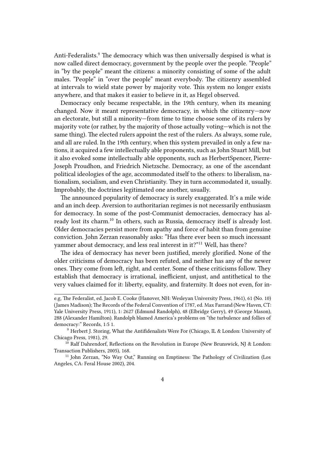Anti-Federalists.<sup>9</sup> The democracy which was then universally despised is what is now called direct democracy, government by the people over the people. "People" in "by the people" meant the citizens: a minority consisting of some of the adult males. "People" in "over the people" meant everybody. The citizenry assembled at intervals to wield state power by majority vote. This system no longer exists anywhere, and that makes it easier to believe in it, as Hegel observed.

Democracy only became respectable, in the 19th century, when its meaning changed. Now it meant representative democracy, in which the citizenry—now an electorate, but still a minority—from time to time choose some of its rulers by majority vote (or rather, by the majority of those actually voting—which is not the same thing). The elected rulers appoint the rest of the rulers. As always, some rule, and all are ruled. In the 19th century, when this system prevailed in only a few nations, it acquired a few intellectually able proponents, such as John Stuart Mill, but it also evoked some intellectually able opponents, such as HerbertSpencer, Pierre-Joseph Proudhon, and Friedrich Nietzsche. Democracy, as one of the ascendant political ideologies of the age, accommodated itself to the others: to liberalism, nationalism, socialism, and even Christianity. They in turn accommodated it, usually. Improbably, the doctrines legitimated one another, usually.

The announced popularity of democracy is surely exaggerated. It's a mile wide and an inch deep. Aversion to authoritarian regimes is not necessarily enthusiasm for democracy. In some of the post-Communist democracies, democracy has already lost its charm.<sup>10</sup> In others, such as Russia, democracy itself is already lost. Older democracies persist more from apathy and force of habit than from genuine conviction. John Zerzan reasonably asks: "Has there ever been so much incessant yammer about democracy, and less real interest in it?"<sup>11</sup> Well, has there?

The idea of democracy has never been justified, merely glorified. None of the older criticisms of democracy has been refuted, and neither has any of the newer ones. They come from left, right, and center. Some of these criticisms follow. They establish that democracy is irrational, inefficient, unjust, and antithetical to the very values claimed for it: liberty, equality, and fraternity. It does not even, for in-

e.g, The Federalist, ed. Jacob E. Cooke (Hanover, NH: Wesleyan University Press, 1961), 61 (No. 10) (James Madison); The Records of the Federal Convention of 1787, ed. Max Farrand (New Haven, CT: Yale University Press, 1911), 1: 2627 (Edmund Randolph), 48 (Elbridge Gerry), 49 (George Mason), 288 (Alexander Hamilton). Randolph blamed America's problems on "the turbulence and follies of democracy:" Records, 1:5 1.

<sup>9</sup> Herbert J. Storing, What the Antifidenalists Were For (Chicago, IL & London: University of Chicago Press, 1981), 29.

 $10$  Ralf Dahrendorf, Reflections on the Revolution in Europe (New Brunswick, NJ & London: Transaction Publishers, 2005), 168.

<sup>&</sup>lt;sup>11</sup> John Zerzan, "No Way Out," Running on Emptiness: The Pathology of Civilization (Los Angeles, CA: Feral House 2002), 204.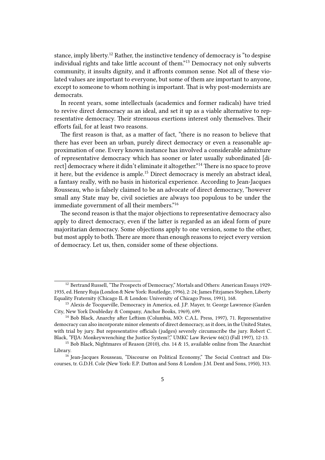stance, imply liberty.<sup>12</sup> Rather, the instinctive tendency of democracy is "to despise individual rights and take little account of them."<sup>13</sup> Democracy not only subverts community, it insults dignity, and it affronts common sense. Not all of these violated values are important to everyone, but some of them are important to anyone, except to someone to whom nothing is important. That is why post-modernists are democrats.

In recent years, some intellectuals (academics and former radicals) have tried to revive direct democracy as an ideal, and set it up as a viable alternative to representative democracy. Their strenuous exertions interest only themselves. Their efforts fail, for at least two reasons.

The first reason is that, as a matter of fact, "there is no reason to believe that there has ever been an urban, purely direct democracy or even a reasonable approximation of one. Every known instance has involved a considerable admixture of representative democracy which has sooner or later usually subordinated [direct] democracy where it didn't eliminate it altogether."<sup>14</sup> There is no space to prove it here, but the evidence is ample.<sup>15</sup> Direct democracy is merely an abstract ideal, a fantasy really, with no basis in historical experience. According to Jean-Jacques Rousseau, who is falsely claimed to be an advocate of direct democracy, "however small any State may be, civil societies are always too populous to be under the immediate government of all their members."<sup>16</sup>

The second reason is that the major objections to representative democracy also apply to direct democracy, even if the latter is regarded as an ideal form of pure majoritarian democracy. Some objections apply to one version, some to the other, but most apply to both. There are more than enough reasons to reject every version of democracy. Let us, then, consider some of these objections.

<sup>&</sup>lt;sup>12</sup> Bertrand Russell, "The Prospects of Democracy," Mortals and Others: American Essays 1929-1935, ed. Henry Ruja (London & New York: Routledge, 1996), 2: 24; James Fitzjames Stephen, Liberty Equality Fraternity (Chicago IL & London: University of Chicago Press, 1991), 168.

<sup>&</sup>lt;sup>13</sup> Alexis de Tocqueville, Democracy in America, ed. J.P. Mayer, tr. George Lawrence (Garden City, New York Doubleday & Company, Anchor Books, 1969), 699.

<sup>14</sup> Bob Black, Anarchy after Leftism (Columbia, MO: C.A.L. Press, 1997), 71. Representative democracy can also incorporate minor elements of direct democracy, as it does, in the United States, with trial by jury. But representative officials (judges) severely circumscribe the jury. Robert C. Black, "FIJA: Monkeywrenching the Justice System?," UMKC Law Review 66(1) (Fall 1997), 12-13.

<sup>15</sup> Bob Black, Nightmares of Reason (2010), chs. 14 & 15, available online from The Anarchist Library.

 $16$  Jean-Jacques Rousseau, "Discourse on Political Economy," The Social Contract and Discourses, tr. G.D.H. Cole (New York: E.P. Dutton and Sons & London: J.M. Dent and Sons, 1950), 313.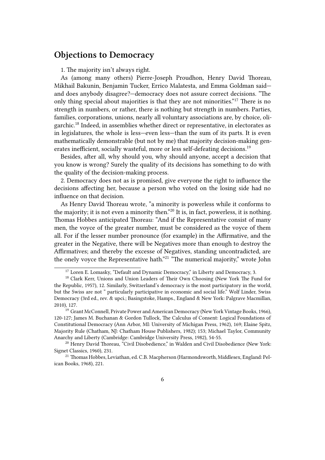## **Objections to Democracy**

1. The majority isn't always right.

As (among many others) Pierre-Joseph Proudhon, Henry David Thoreau, Mikhail Bakunin, Benjamin Tucker, Errico Malatesta, and Emma Goldman said and does anybody disagree?—democracy does not assure correct decisions. "The only thing special about majorities is that they are not minorities."<sup>17</sup> There is no strength in numbers, or rather, there is nothing but strength in numbers. Parties, families, corporations, unions, nearly all voluntary associations are, by choice, oligarchic.<sup>18</sup> Indeed, in assemblies whether direct or representative, in electorates as in legislatures, the whole is less—even less—than the sum of its parts. It is even mathematically demonstrable (but not by me) that majority decision-making generates inefficient, socially wasteful, more or less self-defeating decisions.<sup>19</sup>

Besides, after all, why should you, why should anyone, accept a decision that you know is wrong? Surely the quality of its decisions has something to do with the quality of the decision-making process.

2. Democracy does not as is promised, give everyone the right to influence the decisions affecting her, because a person who voted on the losing side had no influence on that decision.

As Henry David Thoreau wrote, "a minority is powerless while it conforms to the majority; it is not even a minority then."<sup>20</sup> It is, in fact, powerless, it is nothing. Thomas Hobbes anticipated Thoreau: "And if the Representative consist of many men, the voyce of the greater number, must be considered as the voyce of them all. For if the lesser number pronounce (for example) in the Affirmative, and the greater in the Negative, there will be Negatives more than enough to destroy the Affirmatives; and thereby the excesse of Negatives, standing uncontradicted, are the onely voyce the Representative hath."<sup>21</sup> "The numerical majority," wrote John

<sup>20</sup> Henry David Thoreau, "Civil Disobedience," in Walden and Civil Disobedience (New York: Signet Classics, 1960), 231.

<sup>&</sup>lt;sup>17</sup> Loren E. Lomasky, "Default and Dynamic Democracy," in Liberty and Democracy, 3.

<sup>&</sup>lt;sup>18</sup> Clark Kerr, Unions and Union Leaders of Their Own Choosing (New York The Fund for the Republic, 1957), 12. Similarly, Switzerland's democracy is the most participatory in the world, but the Swiss are not " particularly participative in economic and social life." Wolf Linder, Swiss Democracy (3rd ed., rev. & upci.; Basingstoke, Hamps., England & New York: Palgrave Macmillan, 2010), 127.

<sup>&</sup>lt;sup>19</sup> Grant McConnell, Private Power and American Democracy (New York Vintage Books, 1966), 120-127; James M. Buchanan & Gordon Tullock, The Calculus of Consent: Logical Foundations of Constitutional Democracy (Ann Arbor, MI: University of Michigan Press, 1962), 169; Elaine Spitz, Majority Rule (Chatham, NJ: Chatham House Publishers, 1982); 153; Michael Taylor, Community Anarchy and Liberty (Cambridge: Cambridge University Press, 1982), 54-55.

<sup>21</sup> Thomas Hobbes, Leviathan, ed. C.B. Macpherson (Harmondsworth, Middlesex, England: Pelican Books, 1968), 221.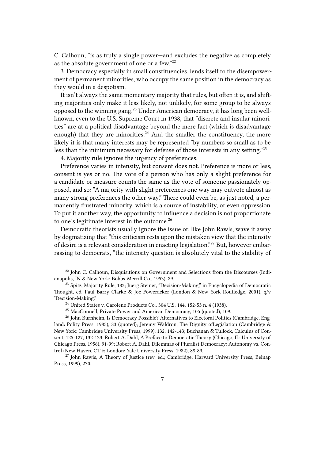C. Calhoun, "is as truly a single power—and excludes the negative as completely as the absolute government of one or a few."<sup>22</sup>

3. Democracy especially in small constituencies, lends itself to the disempowerment of permanent minorities, who occupy the same position in the democracy as they would in a despotism.

It isn't always the same momentary majority that rules, but often it is, and shifting majorities only make it less likely, not unlikely, for some group to be always opposed to the winning gang.<sup>23</sup> Under American democracy, it has long been wellknown, even to the U.S. Supreme Court in 1938, that "discrete and insular minorities" are at a political disadvantage beyond the mere fact (which is disadvantage enough) that they are minorities.<sup>24</sup> And the smaller the constituency, the more likely it is that many interests may be represented "by numbers so small as to be less than the minimum necessary for defense of those interests in any setting."<sup>25</sup>

4. Majority rule ignores the urgency of preferences.

Preference varies in intensity, but consent does not. Preference is more or less, consent is yes or no. The vote of a person who has only a slight preference for a candidate or measure counts the same as the vote of someone passionately opposed, and so: "A majority with slight preferences one way may outvote almost as many strong preferences the other way." There could even be, as just noted, a permanently frustrated minority, which is a source of instability, or even oppression. To put it another way, the opportunity to influence a decision is not proportionate to one's legitimate interest in the outcome.<sup>26</sup>

Democratic theorists usually ignore the issue or, like John Rawls, wave it away by dogmatizing that "this criticism rests upon the mistaken view that the intensity of desire is a relevant consideration in enacting legislation."<sup>27</sup> But, however embarrassing to democrats, "the intensity question is absolutely vital to the stability of

<sup>&</sup>lt;sup>22</sup> John C. Calhoun, Disquisitions on Government and Selections from the Discourses (Indianapolis, IN & New York: Bobbs-Merrill Co., 1953), 29.

<sup>&</sup>lt;sup>23</sup> Spitz, Majority Rule, 183; Juerg Steiner, "Decision-Making," in Encyclopedia of Democratic Thought, ed. Paul Barry Clarke & Joe Foweracker (London & New York Routledge, 2001), q/v "Decision-Making."

<sup>24</sup> United States v. Carolene Products Co., 304 U.S. 144, 152-53 n. 4 (1938).

<sup>25</sup> MacConnell, Private Power and American Democracy, 105 (quoted), 109.

<sup>&</sup>lt;sup>26</sup> John Burnheim, Is Democracy Possible? Alternatives to Electoral Politics (Cambridge, England: Polity Press, 1985), 83 (quoted); Jeremy Waldron, The Dignity ofLegislation (Cambridge & New York: Cambridge University Press, 1999), 132, 142-143; Buchanan & Tullock, Calculus of Consent, 125-127, 132-133; Robert A. Dahl, A Preface to Democratic Theory (Chicago, IL: University of Chicago Press, 1956), 91-99; Robert A. Dahl, Dilemmas of Pluralist Democracy: Autonomy vs. Control (New Haven, CT & London: Yale University Press, 1982), 88-89.

<sup>27</sup> John Rawls, A Theory of Justice (rev. ed.; Cambridge: Harvard University Press, Belnap Press, 1999), 230.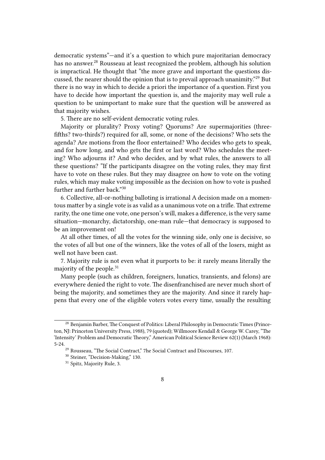democratic systems"—and it's a question to which pure majoritarian democracy has no answer.<sup>28</sup> Rousseau at least recognized the problem, although his solution is impractical. He thought that "the more grave and important the questions discussed, the nearer should the opinion that is to prevail approach unanimity."<sup>29</sup> But there is no way in which to decide a priori the importance of a question. First you have to decide how important the question is, and the majority may well rule a question to be unimportant to make sure that the question will be answered as that majority wishes.

5. There are no self-evident democratic voting rules.

Majority or plurality? Proxy voting? Quorums? Are supermajorities (threefifths? two-thirds?) required for all, some, or none of the decisions? Who sets the agenda? Are motions from the floor entertained? Who decides who gets to speak, and for how long, and who gets the first or last word? Who schedules the meeting? Who adjourns it? And who decides, and by what rules, the answers to all these questions? "If the participants disagree on the voting rules, they may first have to vote on these rules. But they may disagree on how to vote on the voting rules, which may make voting impossible as the decision on how to vote is pushed further and further back."<sup>30</sup>

6. Collective, all-or-nothing balloting is irrational A decision made on a momentous matter by a single vote is as valid as a unanimous vote on a trifle. That extreme rarity, the one time one vote, one person's will, makes a difference, is the very same situation—monarchy, dictatorship, one-man rule—that democracy is supposed to be an improvement on!

At all other times, of all the votes for the winning side, only one is decisive, so the votes of all but one of the winners, like the votes of all of the losers, might as well not have been cast.

7. Majority rule is not even what it purports to be: it rarely means literally the majority of the people. $31$ 

Many people (such as children, foreigners, lunatics, transients, and felons) are everywhere denied the right to vote. The disenfranchised are never much short of being the majority, and sometimes they are the majority. And since it rarely happens that every one of the eligible voters votes every time, usually the resulting

<sup>&</sup>lt;sup>28</sup> Benjamin Barber, The Conquest of Politics: Liberal Philosophy in Democratic Times (Princeton, NJ: Princeton University Press, 1988), 79 (quoted); Willmoore Kendall & George W. Carey, "The 'Intensity' Problem and Democratic Theory," American Political Science Review 62(1) (March 1968): 5-24.

<sup>29</sup> Rousseau, "The Social Contract," 7he Social Contract and Discourses, 107.

<sup>30</sup> Steiner, "Decision-Making," 130.

<sup>31</sup> Spitz, Majority Rule, 3.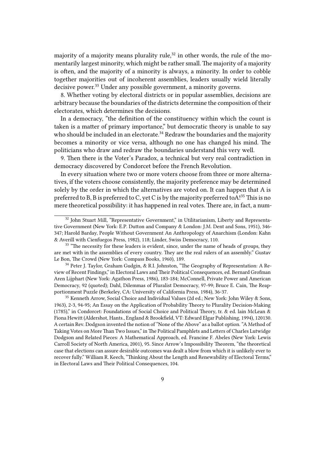majority of a majority means plurality rule, $32$  in other words, the rule of the momentarily largest minority, which might be rather small. The majority of a majority is often, and the majority of a minority is always, a minority. In order to cobble together majorities out of incoherent assemblies, leaders usually wield literally decisive power.<sup>33</sup> Under any possible government, a minority governs.

8. Whether voting by electoral districts or in popular assemblies, decisions are arbitrary because the boundaries of the districts determine the composition of their electorates, which determines the decisions.

In a democracy, "the definition of the constituency within which the count is taken is a matter of primary importance," but democratic theory is unable to say who should be included in an electorate.<sup>34</sup> Redraw the boundaries and the majority becomes a minority or vice versa, although no one has changed his mind. The politicians who draw and redraw the boundaries understand this very well.

9. Then there is the Voter's Paradox, a technical but very real contradiction in democracy discovered by Condorcet before the French Revolution.

In every situation where two or more voters choose from three or more alternatives, if the voters choose consistently, the majority preference may be determined solely by the order in which the alternatives are voted on. It can happen that A is preferred to B, B is preferred to C, yet C is by the majority preferred to A!<sup>35</sup> This is no mere theoretical possibility: it has happened in real votes. There are, in fact, a num-

<sup>34</sup> Peter J. Taylor, Graham Gudgin, & R.I. Johnston, "The Geography of Representation: A Review of Recent Findings," in Electoral Laws and Their Political Consequences, ed. Bernard Grofman Aren Lijphart (New York: Agathon Press, 1986), 183-184; McConnell, Private Power and American Democracy, 92 (quoted); Dahl, Dilemmas of Pluralist Democracy, 97-99; Bruce E. Cain, The Reapportionment Puzzle (Berkeley, CA: University of California Press, 1984), 36-37.

<sup>35</sup> Kenneth Arrow, Social Choice and Individual Values (2d ed.; New York: John Wiley & Sons, 1963), 2-3, 94-95; An Essay on the Application of Probability Theory to Plurality Decision-Making (1785)," in Condorcet: Foundations of Social Choice and Political Theory, tr. & ed. lain McLean & Fiona Hewitt (Aldershot, Hants., England & Brookfield, VT: Edward Elgar Publishing, 1994), 120130. A certain Rev. Dodgson invented the notion of "None of the Above" as a ballot option. "A Method of Taking Votes on More Than Two Issues," in The Political Pamphlets and Letters of Charles Lutwidge Dodgson and Related Pieces: A Mathematical Approach, ed. Francine F. Abeles (New York: Lewis Carroll Society of North America, 2001), 95. Since Arrow's Impossibility Theorem, "the theoretical case that elections can assure desirable outcomes was dealt a blow from which it is unlikely ever to recover fully." William R. Keech, "Thinking About the Length and Renewability of Electoral Terms," in Electoral Laws and Their Political Consequences, 104.

<sup>&</sup>lt;sup>32</sup> John Stuart Mill, "Representative Government," in Utilitarianism, Liberty and Representative Government (New York: E.P. Dutton and Company & London: J.M. Dent and Sons, 1951), 346- 347; Harold Barday, People Without Government An Anthropology of Anarchism (London: Kahn & Averill with Cienfuegos Press, 1982), 118; Linder, Swiss Democracy, 110.

 $33$  "The necessity for these leaders is evident, since, under the name of heads of groups, they are met with in the assemblies of every country. They are the real rulers of an assembly." Gustav Le Bon, The Crowd (New York: Compass Books, 1960), 189.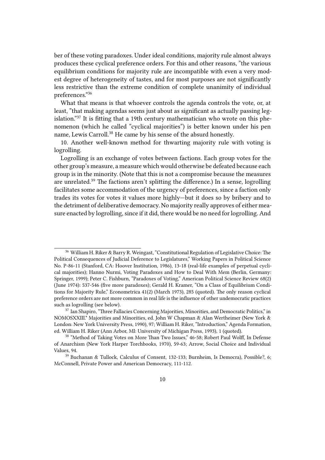ber of these voting paradoxes. Under ideal conditions, majority rule almost always produces these cyclical preference orders. For this and other reasons, "the various equilibrium conditions for majority rule are incompatible with even a very modest degree of heterogeneity of tastes, and for most purposes are not significantly less restrictive than the extreme condition of complete unanimity of individual preferences."<sup>36</sup>

What that means is that whoever controls the agenda controls the vote, or, at least, "that making agendas seems just about as significant as actually passing legislation."<sup>37</sup> It is fitting that a 19th century mathematician who wrote on this phenomenon (which he called "cyclical majorities") is better known under his pen name, Lewis Carroll.<sup>38</sup> He came by his sense of the absurd honestly.

10. Another well-known method for thwarting majority rule with voting is logrolling.

Logrolling is an exchange of votes between factions. Each group votes for the other group's measure, a measure which would otherwise be defeated because each group is in the minority. (Note that this is not a compromise because the measures are unrelated.<sup>39</sup> The factions aren't splitting the difference.) In a sense, logrolling facilitates some accommodation of the urgency of preferences, since a faction only trades its votes for votes it values more highly—but it does so by bribery and to the detriment of deliberative democracy. No majority really approves of either measure enacted by logrolling, since if it did, there would be no need for logrolling. And

<sup>36</sup> William H. Riker & Barry R. Weingast, "Constitutional Regulation of Legislative Choice: The Political Consequences of Judicial Deference to Legislatures," Working Papers in Political Science No. P-86-11 (Stanford, CA: Hoover Institution, 1986), 13-18 (real-life examples of perpetual cyclical majorities); Hanno Nurmi, Voting Paradoxes and How to Deal With Mem (Berlin, Germany: Springer, 1999); Peter C. Fishburn, "Paradoxes of Voting," American Political Science Review 68(2) (June 1974): 537-546 (five more paradoxes); Gerald H. Kramer, "On a Class of Equilibrium Conditions for Majority Rule," Econometrica 41(2) (March 1973), 285 (quoted). The only reason cyclical preference orders are not more common in real life is the influence of other undemocratic practices such as logrolling (see below).

<sup>&</sup>lt;sup>37</sup> Ian Shapiro, "Three Fallacies Concerning Majorities, Minorities, and Democratic Politics," in NOMOSXXIII.\* Majorities and Minorities, ed. John W Chapman & Alan Wertheimer (New York & London: New York University Press, 1990), 97; William H. Riker, "Introduction," Agenda Formation, ed. William H. Riker (Ann Arbor, MI: University of Michigan Press, 1993), 1 (quoted).

<sup>&</sup>lt;sup>38</sup> "Method of Taking Votes on More Than Two Issues," 46-58; Robert Paul Wolff, In Defense of Anarchism (New York Harper Torchbooks, 1970), 59-63; Arrow, Social Choice and Individual Values, 94.

<sup>39</sup> Buchanan & Tullock, Calculus of Consent, 132-133; Burnheim, Is Democra), Possible?, 6; McConnell, Private Power and American Democracy, 111-112.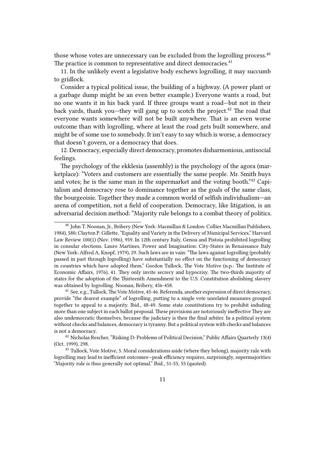those whose votes are unnecessary can be excluded from the logrolling process.<sup>40</sup> The practice is common to representative and direct democracies.<sup>41</sup>

11. In the unlikely event a legislative body eschews logrolling, it may succumb to gridlock.

Consider a typical political issue, the building of a highway. (A power plant or a garbage dump might be an even better example.) Everyone wants a road, but no one wants it in his back yard. If three groups want a road—but not in their back yards, thank you—they will gang up to scotch the project.<sup>42</sup> The road that everyone wants somewhere will not be built anywhere. That is an even worse outcome than with logrolling, where at least the road gets built somewhere, and might be of some use to somebody. It isn't easy to say which is worse, a democracy that doesn't govern, or a democracy that does.

12. Democracy, especially direct democracy, promotes disharmonious, antisocial feelings.

The psychology of the ekklesia (assembly) is the psychology of the agora (marketplace): "Voters and customers are essentially the same people. Mr. Smith buys and votes; he is the same man in the supermarket and the voting booth.<sup>"43</sup> Capitalism and democracy rose to dominance together as the goals of the same class, the bourgeoisie. Together they made a common world of selfish individualism—an arena of competition, not a field of cooperation. Democracy, like litigation, is an adversarial decision method: "Majority rule belongs to a combat theory of politics.

<sup>41</sup> See, e.g., Tullock, The Vote Motive, 45-46. Referenda, another expression of direct democracy, provide "the dearest example" of logrolling, putting to a single vote unrelated measures grouped together to appeal to a majority. Ibid., 48-49. Some state constitutions try to prohibit induding more than one subject in each ballot proposal. These provisions are notoriously ineffective They are also undemocratic themselves, because the judiciary is then the final arbiter. In a political system without checks and balances, democracy is tyranny. But a political system with checks and balances is not a democracy.

<sup>42</sup> Nicholas Rescher, "Risking D: Problems of Political Decision," Public Affairs Quarterly 13(4) (Oct. 1999), 298.

 $43$  Tullock, Vote Motive, 5. Moral considerations aside (where they belong), majority rule with logrolling may lead to inefficient outcomes—peak efficiency requires, surprisingly, supermajorities: "Majority rule is thus generally not optimal." Ibid., 51-55, 55 (quoted).

<sup>40</sup> John T. Noonan, Jr., Bribery (New York: Macmillan & London: Collier Macmillan Publishers, 1984), 580; Clayton P. Gillette, "Equality and Variety in the Delivery of Municipal Services," Harvard Law Review 100(1) (Nov. 1986), 959. In 12th century Italy, Genoa and Pistoia prohibited logrolling in consular elections. Lauro Martines, Power and Imagination: City-States in Renaissance Italy (New York: Alfred A. Knopf, 1979), 29. Such laws are in vain: "The laws against logrolling (probably passed in part through logrolling) have substantially no effect on the functioning of democracy in countries which have adopted them." Gordon Tullock, The Vote Motive (n.p.: The Institute of Economic Affairs, 1976), 41. They only invite secrecy and hypocrisy. The two-thirds majority of states for the adoption of the Thirteenth Amendment to the U.S. Constitution abolishing slavery was obtained by logrolling. Noonan, Bribery, 456-458.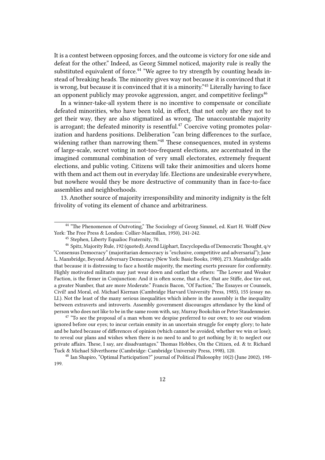It is a contest between opposing forces, and the outcome is victory for one side and defeat for the other." Indeed, as Georg Simmel noticed, majority rule is really the substituted equivalent of force.<sup>44</sup> "We agree to try strength by counting heads instead of breaking heads. The minority gives way not because it is convinced that it is wrong, but because it is convinced that it is a minority.<sup>"45</sup> Literally having to face an opponent publicly may provoke aggression, anger, and competitive feelings<sup>46</sup>

In a winner-take-all system there is no incentive to compensate or conciliate defeated minorities, who have been told, in effect, that not only are they not to get their way, they are also stigmatized as wrong. The unaccountable majority is arrogant; the defeated minority is resentful. $47$  Coercive voting promotes polarization and hardens positions. Deliberation "can bring differences to the surface, widening rather than narrowing them."<sup>48</sup> These consequences, muted in systems of large-scale, secret voting in not-too-frequent elections, are accentuated in the imagined communal combination of very small electorates, extremely frequent elections, and public voting. Citizens will take their animosities and ulcers home with them and act them out in everyday life. Elections are undesirable everywhere, but nowhere would they be more destructive of community than in face-to-face assemblies and neighborhoods.

13. Another source of majority irresponsibility and minority indignity is the felt frivolity of voting its element of chance and arbitrariness.

 $47$  "To see the proposal of a man whom we despise preferred to our own; to see our wisdom ignored before our eyes; to incur certain enmity in an uncertain struggle for empty glory; to hate and be hated because of differences of opinion (which cannot be avoided, whether we win or lose); to reveal our plans and wishes when there is no need to and to get nothing by it; to neglect our private affairs. These, I say, are disadvantages." Thomas Hobbes, On the Citizen, ed. & tr. Richard Tuck & Michael Silverthorne (Cambridge: Cambridge University Press, 1998), 120.

<sup>48</sup> Ian Shapiro, "Optimal Participation?" journal of Political Philosophy 10(2) (June 2002), 198-199.

<sup>&</sup>lt;sup>44</sup> "The Phenomenon of Outvoting," The Sociology of Georg Simmel, ed. Kurt H. Wolff (New York: The Free Press & London: Collier-Macmillan, 1950), 241-242.

<sup>45</sup> Stephen, Liberty Equalioc Fraternity, 70.

<sup>46</sup> Spitz, Majority Rule, 192 (quoted); Arend Lijphart, Encyclopedia of Democratic Thought, q/v "Consensus Democracy" (majoritarian democracy is "exclusive, competitive and adversarial"); Jane L. Mansbridge, Beyond Adversary Democracy (New York: Basic Books, 1980), 273. Mansbridge adds that because it is distressing to face a hostile majority, the meeting exerts pressure for conformity. Highly motivated militants may just wear down and outlast the others: "The Lower and Weaker Faction, is the firmer in Conjunction: And it is often scene, that a few, that are Stiffe, doe tire out, a greater Number, that are more Moderate." Francis Bacon, "Of Faction," The Essayes or Counsels, Civil! and Moral, ed. Michael Kiernan (Cambridge Harvard University Press, 1985), 155 (essay no. LI.). Not the least of the many serious inequalities which inhere in the assembly is the inequality between extraverts and introverts. Assembly government discourages attendance by the kind of person who does not like to be in the same room with, say, Murray Bookchin or Peter Staudenmeier.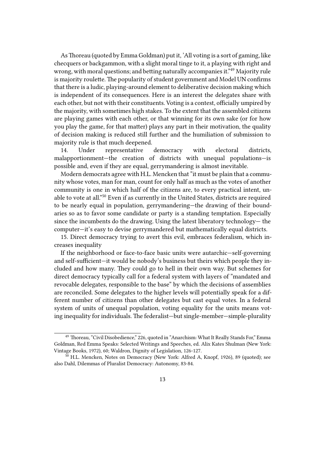AsThoreau (quoted by Emma Goldman) put it, 'All voting is a sort of gaming, like checquers or backgammon, with a slight moral tinge to it, a playing with right and wrong, with moral questions; and betting naturally accompanies it."<sup>49</sup> Majority rule is majority roulette. The popularity of student government and Model UN confirms that there is a ludic, playing-around element to deliberative decision making which is independent of its consequences. Here is an interest the delegates share with each other, but not with their constituents. Voting is a contest, officially umpired by the majority, with sometimes high stakes. To the extent that the assembled citizens are playing games with each other, or that winning for its own sake (or for how you play the game, for that matter) plays any part in their motivation, the quality of decision making is reduced still further and the humiliation of submission to majority rule is that much deepened.

14. Under representative democracy with electoral districts, malapportionment—the creation of districts with unequal populations—is possible and, even if they are equal, gerrymandering is almost inevitable.

Modern democrats agree with H.L. Mencken that "it must be plain that a community whose votes, man for man, count for only half as much as the votes of another community is one in which half of the citizens are, to every practical intent, unable to vote at all."<sup>50</sup> Even if as currently in the United States, districts are required to be nearly equal in population, gerrymandering—the drawing of their boundaries so as to favor some candidate or party is a standing temptation. Especially since the incumbents do the drawing. Using the latest liberatory technology— the computer—it's easy to devise gerrymandered but mathematically equal districts.

15. Direct democracy trying to avert this evil, embraces federalism, which increases inequality

If the neighborhood or face-to-face basic units were autarchic—self-governing and self-sufficient—it would be nobody's business but theirs which people they included and how many. They could go to hell in their own way. But schemes for direct democracy typically call for a federal system with layers of "mandated and revocable delegates, responsible to the base" by which the decisions of assemblies are reconciled. Some delegates to the higher levels will potentially speak for a different number of citizens than other delegates but cast equal votes. In a federal system of units of unequal population, voting equality for the units means voting inequality for individuals. The federalist—but single-member—simple-plurality

<sup>&</sup>lt;sup>49</sup> Thoreau, "Civil Disobedience," 226, quoted in "Anarchism: What It Really Stands For," Emma Goldman, Red Emma Speaks: Selected Writings and Speeches, ed. Alix Kates Shulman (New York: Vintage Books, 1972), 60; Waldron, Dignity of Legislation, 126-127.

<sup>&</sup>lt;sup>50</sup> H.L. Mencken, Notes on Democracy (New York: Alfred A, Knopf, 1926), 89 (quoted); see also Dahl, Dilemmas of Pluralist Democracy: Autonomy, 83-84.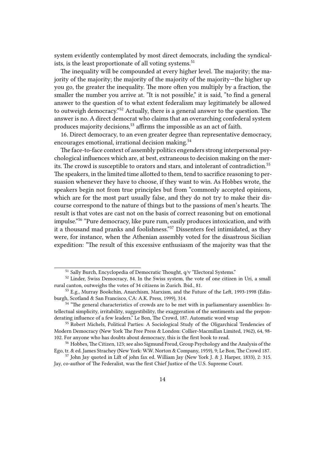system evidently contemplated by most direct democrats, including the syndicalists, is the least proportionate of all voting systems.<sup>51</sup>

The inequality will be compounded at every higher level. The majority; the majority of the majority; the majority of the majority of the majority—the higher up you go, the greater the inequality. The more often you multiply by a fraction, the smaller the number you arrive at. "It is not possible," it is said, "to find a general answer to the question of to what extent federalism may legitimately be allowed to outweigh democracy."<sup>52</sup> Actually, there is a general answer to the question. The answer is no. A direct democrat who claims that an overarching confederal system produces majority decisions,<sup>53</sup> affirms the impossible as an act of faith.

16. Direct democracy, to an even greater degree than representative democracy, encourages emotional, irrational decision making.<sup>54</sup>

The face-to-face context of assembly politics engenders strong interpersonal psychological influences which are, at best, extraneous to decision making on the merits. The crowd is susceptible to orators and stars, and intolerant of contradiction.<sup>55</sup> The speakers, in the limited time allotted to them, tend to sacrifice reasoning to persuasion whenever they have to choose, if they want to win. As Hobbes wrote, the speakers begin not from true principles but from "commonly accepted opinions, which are for the most part usually false, and they do not try to make their discourse correspond to the nature of things but to the passions of men's hearts. The result is that votes are cast not on the basis of correct reasoning but on emotional impulse."<sup>56</sup> "Pure democracy, like pure rum, easily produces intoxication, and with it a thousand mad pranks and foolishness."<sup>57</sup> Dissenters feel intimidated, as they were, for instance, when the Athenian assembly voted for the disastrous Sicilian expedition: "The result of this excessive enthusiasm of the majority was that the

 $51$  Sally Burch, Encyclopedia of Democratic Thought, q/v "Electoral Systems."

<sup>52</sup> Linder, Swiss Democracy, 84. In the Swiss system, the vote of one citizen in Uri, a small rural canton, outweighs the votes of 34 citizens in Zurich. Ibid., 81.

<sup>53</sup> E.g., Murray Bookchin, Anarchism, Marxism, and the Future of the Left, 1993-1998 (Edinburgh, Scotland & San Francisco, CA: A.K. Press, 1999), 314.

 $^{54}$  "The general characteristics of crowds are to be met with in parliamentary assemblies: Intellectual simplicity, irritability, suggestibility, the exaggeration of the sentiments and the preponderating influence of a few leaders." Le Bon, The Crowd, 187. Automatic word wrap

<sup>55</sup> Robert Michels, Political Parties: A Sociological Study of the Oligarchical Tendencies of Modern Democracy (New York The Free Press & London: Collier-Macmillan Limited, 1962), 64, 98- 102. For anyone who has doubts about democracy, this is the first book to read.

<sup>56</sup> Hobbes, The Citizen, 123; see also Sigmund Freud, Group Psychology and the Analysis of the Ego, tr. & ed. James Strachey (New York: W.W. Norton & Company, 1959), 9; Le Bon, The Crowd 187.

<sup>57</sup> John Jay quoted in Lift of john fax ed. William Jay (New York J. & J. Harper, 1833), 2: 315. Jay, co-author of The Federalist, was the first Chief Justice of the U.S. Supreme Court.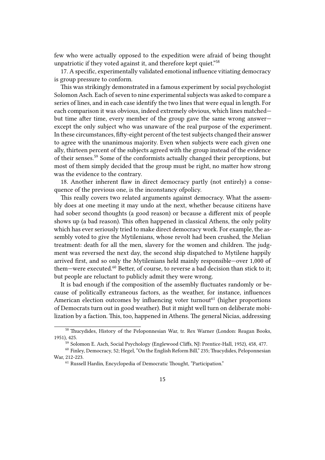few who were actually opposed to the expedition were afraid of being thought unpatriotic if they voted against it, and therefore kept quiet."<sup>58</sup>

17. A specific, experimentally validated emotional influence vitiating democracy is group pressure to conform.

This was strikingly demonstrated in a famous experiment by social psychologist Solomon Asch. Each of seven to nine experimental subjects was asked to compare a series of lines, and in each case identify the two lines that were equal in length. For each comparison it was obvious, indeed extremely obvious, which lines matched but time after time, every member of the group gave the same wrong answer except the only subject who was unaware of the real purpose of the experiment. In these circumstances, fifty-eight percent of the test subjects changed their answer to agree with the unanimous majority. Even when subjects were each given one ally, thirteen percent of the subjects agreed with the group instead of the evidence of their senses.<sup>59</sup> Some of the conformists actually changed their perceptions, but most of them simply decided that the group must be right, no matter how strong was the evidence to the contrary.

18. Another inherent flaw in direct democracy partly (not entirely) a consequence of the previous one, is the inconstancy ofpolicy.

This really covers two related arguments against democracy. What the assembly does at one meeting it may undo at the next, whether because citizens have had sober second thoughts (a good reason) or because a different mix of people shows up (a bad reason). This often happened in classical Athens, the only polity which has ever seriously tried to make direct democracy work. For example, the assembly voted to give the Mytilenians, whose revolt had been crushed, the Melian treatment: death for all the men, slavery for the women and children. The judgment was reversed the next day, the second ship dispatched to Mytilene happily arrived first, and so only the Mytilenians held mainly responsible—over 1,000 of them-were executed.<sup>60</sup> Better, of course, to reverse a bad decision than stick to it; but people are reluctant to publicly admit they were wrong.

It is bad enough if the composition of the assembly fluctuates randomly or because of politically extraneous factors, as the weather, for instance, influences American election outcomes by influencing voter turnout<sup>61</sup> (higher proportions of Democrats turn out in good weather). But it might well turn on deliberate mobilization by a faction. This, too, happened in Athens. The general Nicias, addressing

<sup>58</sup> Thucydides, History of the Peloponnesian War, tr. Rex Warner (London: Reagan Books, 1951), 425.

<sup>59</sup> Solomon E. Asch, Social Psychology (Englewood Cliffs, NJ: Prentice-Hall, 1952), 458, 477.

<sup>&</sup>lt;sup>60</sup> Finley, Democracy, 52; Hegel, "On the English Reform Bill," 235; Thucydides, Peloponnesian War, 212-223.

<sup>61</sup> Russell Hardin, Encyclopedia of Democratic Thought, "Participation."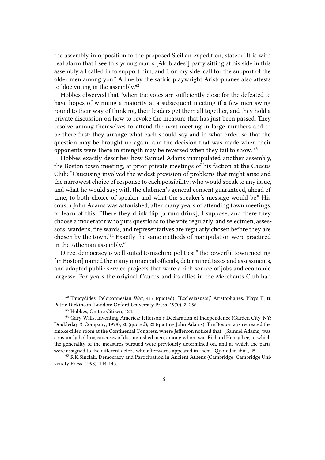the assembly in opposition to the proposed Sicilian expedition, stated: "It is with real alarm that I see this young man's [Alcibiades'] party sitting at his side in this assembly all called in to support him, and I, on my side, call for the support of the older men among you." A line by the satiric playwright Aristophanes also attests to bloc voting in the assembly.<sup>62</sup>

Hobbes observed that "when the votes are sufficiently close for the defeated to have hopes of winning a majority at a subsequent meeting if a few men swing round to their way of thinking, their leaders get them all together, and they hold a private discussion on how to revoke the measure that has just been passed. They resolve among themselves to attend the next meeting in large numbers and to be there first; they arrange what each should say and in what order, so that the question may be brought up again, and the decision that was made when their opponents were there in strength may be reversed when they fail to show."<sup>63</sup>

Hobbes exactly describes how Samuel Adams manipulated another assembly, the Boston town meeting, at prior private meetings of his faction at the Caucus Club: "Caucusing involved the widest prevision of problems that might arise and the narrowest choice of response to each possibility; who would speak to any issue, and what he would say; with the clubmen's general consent guaranteed, ahead of time, to both choice of speaker and what the speaker's message would be." His cousin John Adams was astonished, after many years of attending town meetings, to learn of this: "There they drink flip [a rum drink], I suppose, and there they choose a moderator who puts questions to the vote regularly, and selectmen, assessors, wardens, fire wards, and representatives are regularly chosen before they are chosen by the town."<sup>64</sup> Exactly the same methods of manipulation were practiced in the Athenian assembly.<sup>65</sup>

Direct democracy is well suited to machine politics: "The powerful town meeting [in Boston] named the many municipal officials, determined taxes and assessments, and adopted public service projects that were a rich source of jobs and economic largesse. For years the original Caucus and its allies in the Merchants Club had

<sup>62</sup> Thucydides, Peloponnesian War, 417 (quoted); "Ecclesiazusai," Aristophanes: Plays II, tr. Patric Dickinson (London: Oxford University Press, 1970), 2: 256.

<sup>63</sup> Hobbes, On the Citizen, 124.

<sup>64</sup> Gary Wills, Inventing America: Jefferson's Declaration of Independence (Garden City, NY: Doubleday & Company, 1978), 20 (quoted), 23 (quoting John Adams). The Bostonians recreated the smoke-filled room at the Continental Congress, where Jefferson noticed that "[Samuel Adams] was constantly holding caucuses of distinguished men, among whom was Richard Henry Lee, at which the generality of the measures pursued were previously determined on, and at which the parts were assigned to the different actors who afterwards appeared in them." Quoted in ibid., 25.

<sup>65</sup> R.K.Sinclair, Democracy and Participation in Ancient Athens (Cambridge: Cambridge University Press, 1998), 144-145.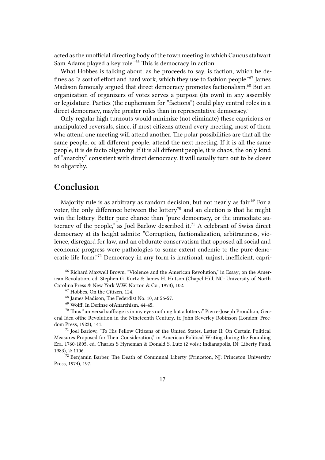acted as the unofficial directing body of the town meeting in which Caucus stalwart Sam Adams played a key role."<sup>66</sup> This is democracy in action.

What Hobbes is talking about, as he proceeds to say, is faction, which he defines as "a sort of effort and hard work, which they use to fashion people."<sup>67</sup> James Madison famously argued that direct democracy promotes factionalism.<sup>68</sup> But an organization of organizers of votes serves a purpose (its own) in any assembly or legislature. Parties (the euphemism for "factions") could play central roles in a direct democracy, maybe greater roles than in representative democracy.°

Only regular high turnouts would minimize (not eliminate) these capricious or manipulated reversals, since, if most citizens attend every meeting, most of them who attend one meeting will attend another. The polar possibilities are that all the same people, or all different people, attend the next meeting. If it is all the same people, it is de facto oligarchy. If it is all different people, it is chaos, the only kind of "anarchy" consistent with direct democracy. It will usually turn out to be closer to oligarchy.

## **Conclusion**

Majority rule is as arbitrary as random decision, but not nearly as fair.<sup>69</sup> For a voter, the only difference between the lottery<sup>70</sup> and an election is that he might win the lottery. Better pure chance than "pure democracy, or the immediate autocracy of the people," as Joel Barlow described it.<sup>71</sup> A celebrant of Swiss direct democracy at its height admits: "Corruption, factionalization, arbitrariness, violence, disregard for law, and an obdurate conservatism that opposed all social and economic progress were pathologies to some extent endemic to the pure democratic life form."<sup>72</sup> Democracy in any form is irrational, unjust, inefficient, capri-

<sup>&</sup>lt;sup>66</sup> Richard Maxwell Brown, "Violence and the American Revolution," in Essay; on the American Revolution, ed. Stephen G. Kurtz & James H. Hutson (Chapel Hill, NC: University of North Carolina Press & New York W.W. Norton & Co., 1973), 102.

<sup>67</sup> Hobbes, On the Citizen, 124.

<sup>68</sup> James Madison, The Federdist No. 10, at 56-57.

<sup>69</sup> Wolff, In Definse ofAnarchism, 44-45.

<sup>&</sup>lt;sup>70</sup> Thus "universal suffrage is in my eyes nothing but a lottery:" Pierre-Joseph Proudhon, General Idea ofthe Revolution in the Nineteenth Century, tr. John Beverley Robinson (London: Freedom Press, 1923), 141.

<sup>71</sup> Joel Barlow, "To His Fellow Citizens of the United States. Letter II: On Certain Political Measures Proposed for Their Consideration," in American Political Writing during the Founding Era, 1760-1805, ed. Charles S Hyneman & Donald S. Lutz (2 vols.; Indianapolis, IN: Liberty Fund, 1983), 2: 1106.

 $72$  Benjamin Barber, The Death of Communal Liberty (Princeton, NJ: Princeton University Press, 1974), 197.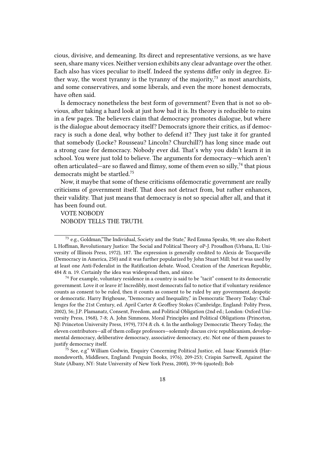cious, divisive, and demeaning. Its direct and representative versions, as we have seen, share many vices. Neither version exhibits any clear advantage over the other. Each also has vices peculiar to itself. Indeed the systems differ only in degree. Either way, the worst tyranny is the tyranny of the majority,<sup>73</sup> as most anarchists, and some conservatives, and some liberals, and even the more honest democrats, have often said.

Is democracy nonetheless the best form of government? Even that is not so obvious, after taking a hard look at just how bad it is. Its theory is reducible to ruins in a few pages. The believers claim that democracy promotes dialogue, but where is the dialogue about democracy itself? Democrats ignore their critics, as if democracy is such a done deal, why bother to defend it? They just take it for granted that somebody (Locke? Rousseau? Lincoln? Churchill?) has long since made out a strong case for democracy. Nobody ever did. That's why you didn't learn it in school. You were just told to believe. The arguments for democracy—which aren't often articulated—are so flawed and flimsy, some of them even so silly,<sup>74</sup> that pious democrats might be startled.<sup>75</sup>

Now, it maybe that some of these criticisms ofdemocratic government are really criticisms of government itself. That does not detract from, but rather enhances, their validity. That just means that democracy is not so special after all, and that it has been found out.

VOTE NOBODY NOBODY TELLS THE TRUTH.

<sup>73</sup> e.g., Goldman,"The Individual, Society and the State," Red Emma Speaks, 98; see also Robert L Hoffman, Revolutionary Justice: The Social and Political Theory oP-J. Proudhon (Urbana, IL: University of Illinois Press, 1972), 187. The expression is generally credited to Alexis de Tocqueville (Democracy in America, 250) and it was further popularized by John Stuart Mill; but it was used by at least one Anti-Federalist in the Ratification debate. Wood, Creation of the American Republic, 484 & n. 19. Certainly the idea was widespread then, and since.

 $74$  For example, voluntary residence in a country is said to be "tacit" consent to its democratic government. Love it or leave it! Incredibly, most democrats fail to notice that if voluntary residence counts as consent to be ruled, then it counts as consent to be ruled by any government, despotic or democratic. Harry Brighouse, "Democracy and Inequality," in Democratic Theory Today: Challenges for the 21st Century, ed. April Carter & Geoffrey Stokes (Cambridge, England: Polity Press, 2002), 56; J.P. Plamanatz, Consent, Freedom, and Political Obligation (2nd ed.; London: Oxford University Press, 1968), 7-8; A. John Simmons, Moral Principles and Political Obligations (Princeton, NJ: Princeton University Press, 1979), 7374 & ch. 4. In the anthology Democratic Theory Today, the eleven contributors—all of them college professors—solemnly discuss civic republicanism, developmental democracy, deliberative democracy, associative democracy, etc. Not one of them pauses to justify democracy itself.

<sup>75</sup> See, e.g" William Godwin, Enquiry Concerning Political Justice, ed. Isaac Kramnick (Harmondsworth, Middlesex, England: Penguin Books, 1976), 209-253; Crispin Sartwell, Against the State (Albany, NY: State University of New York Press, 2008), 39-96 (quoted); Bob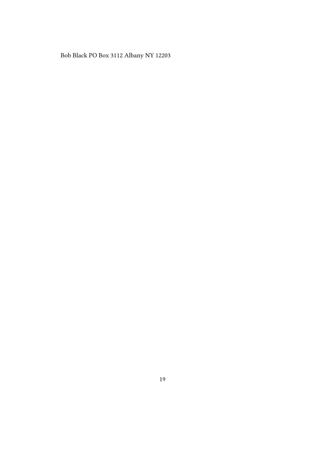Bob Black PO Box 3112 Albany NY 12203